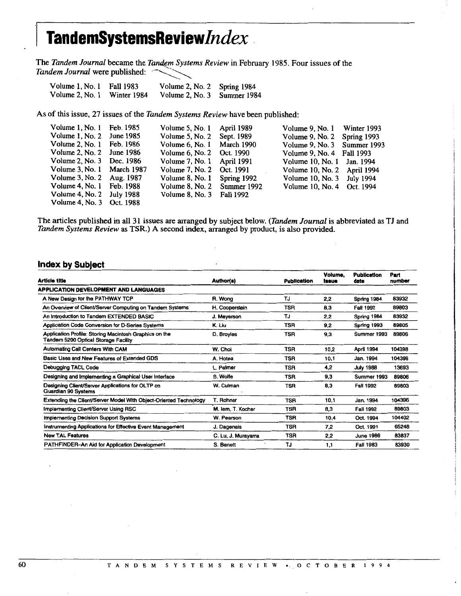## I **TandemSystemsReview/ndex**

The *Tandem Journal* became the *Tandem Systems Review* in February 1985. Four issues of the Tandem Journal were published:

| Volume 1, No. 1 | <b>Fall 1983</b> | Volume 2, No. 2 Spring 1984 |  |
|-----------------|------------------|-----------------------------|--|
| Volume 2, No. 1 | Winter 1984      | Volume 2, No. 3 Summer 1984 |  |

As of this issue, 27 issues of the *Tandem Systems Review* have been published:

| Volume 1, No. 1 Feb. 1985    | Volume 5, No. 1 April 1989  | Volume 9, No. 1 Winter 1993 |  |
|------------------------------|-----------------------------|-----------------------------|--|
| Volume $1, No. 2$ June 1985  | Volume 5, No. 2 Sept. 1989  | Volume 9, No. 2 Spring 1993 |  |
| Volume 2, No. 1 Feb. 1986    | Volume 6, No. 1 March 1990  | Volume 9, No. 3 Summer 1993 |  |
| Volume 2, No. $2$ June 1986  | Volume 6, No. 2 Oct. 1990   | Volume 9, No. 4 Fall 1993   |  |
| Volume 2, No. 3 Dec. 1986    | Volume 7, No. 1 April 1991  | Volume 10, No. 1 Jan. 1994  |  |
| Volume 3, No. 1 March 1987   | Volume 7, No. 2 Oct. 1991   | Volume 10, No. 2 April 1994 |  |
| Volume 3, No. 2 Aug. 1987    | Volume 8, No. 1 Spring 1992 | Volume 10, No. 3 July 1994  |  |
| Volume 4, No. 1 Feb. 1988    | Volume 8, No. 2 Summer 1992 | Volume 10, No. 4 Oct. 1994  |  |
| Volume $4$ , No. 2 July 1988 | Volume 8, No. 3 Fall 1992   |                             |  |
| Volume 4, No. 3 Oct. 1988    |                             |                             |  |

The articles published in all 31 issues are arranged by subject below. *(Tandem Journal* is abbreviated as TJ and *Tandem Systems Review* as TSR.) A second index, arranged by product, is also provided.

## **Index by Subject**

| Article title                                                                                  | <b>Author(s)</b>   | <b>Publication</b> | Volume,<br>issue | <b>Publication</b><br>date | Part<br>number |
|------------------------------------------------------------------------------------------------|--------------------|--------------------|------------------|----------------------------|----------------|
| APPLICATION DEVELOPMENT AND LANGUAGES                                                          |                    |                    |                  |                            |                |
| A New Design for the PATHWAY TCP                                                               | R. Wong            | TJ                 | 2.2              | Spring 1984                | 83932          |
| An Overview of Client/Server Computing on Tandem Systems                                       | H. Cooperstein     | <b>TSR</b>         | 8.3              | <b>Fall 1992</b>           | 89803          |
| An Introduction to Tandem EXTENDED BASIC                                                       | J. Meyerson        | TJ                 | 2.2              | Spring 1984                | 83932          |
| Application Code Conversion for D-Series Systems                                               | K. Liu             | <b>TSR</b>         | 9.2              | Spring 1993                | 89805          |
| Application Profile: Storing Macintosh Graphics on the<br>Tandem 5200 Optical Storage Facility | D. Broyles         | <b>TSR</b>         | 9,3              | Summer 1993                | 89806          |
| <b>Automating Call Centers With CAM</b>                                                        | W. Choi            | <b>TSR</b>         | 10,2             | April 1994                 | 104398         |
| Basic Uses and New Features of Extended GDS                                                    | A. Hotea           | <b>TSR</b>         | 10.1             | Jan. 1994                  | 104396         |
| Debugging TACL Code                                                                            | L. Palmer          | TSR                | 4,2              | <b>July 1988</b>           | 13693          |
| Designing and Implementing a Graphical User Interface                                          | S. Wolfe           | <b>TSR</b>         | 9,3              | Summer 1993                | 89806          |
| Designing Client/Server Applications for OLTP on<br>Guardian 90 Systems                        | W. Culman          | <b>TSR</b>         | 8.3              | Fall 1992                  | 89803          |
| Extending the Client/Server Model With Object-Oriented Technology                              | T. Rohner          | <b>TSR</b>         | 10.1             | Jan. 1994                  | 104396         |
| <b>Implementing Client/Server Using RSC</b>                                                    | M. lem. T. Kocher  | TSR                | 8,3              | Fall 1992                  | 89803          |
| Implementing Decision Support Systems                                                          | W. Pearson         | <b>TSR</b>         | 10.4             | Oct. 1994                  | 104402         |
| Instrumenting Applications for Effective Event Management                                      | J. Dagenais        | TSR                | 7.2              | Oct. 1991                  | 65248          |
| <b>New TAL Features</b>                                                                        | C. Lu, J. Murayama | <b>TSR</b>         | 2,2              | <b>June 1986</b>           | 83837          |
| <b>PATHFINDER-An Aid for Application Development</b>                                           | S. Benett          | TJ                 | 1,1              | Fall 1983                  | 83930          |
|                                                                                                |                    |                    |                  |                            |                |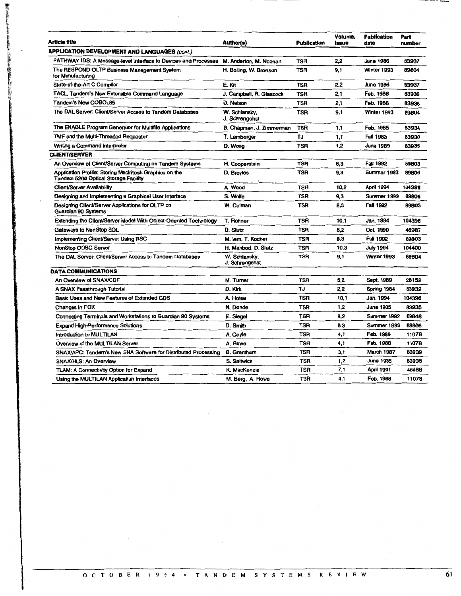| <b>Article title</b>                                                                           | Author(s)                       | <b>Publication</b> | Volume,<br>Issue | <b>Publication</b><br>date | Part<br>number |
|------------------------------------------------------------------------------------------------|---------------------------------|--------------------|------------------|----------------------------|----------------|
| <b>APPLICATION DEVELOPMENT AND LANGUAGES (cont.)</b>                                           |                                 |                    |                  |                            |                |
| PATHWAY IDS: A Message-level Interface to Devices and Processes                                | M. Anderton, M. Noonan          | <b>TSR</b>         | 2.2              | <b>June 1986</b>           | 83937          |
| The RESPOND OLTP Business Management System<br>for Manufacturing                               | H. Bolling, W. Bronson          | <b>TSR</b>         | 9.1              | Winter 1993                | 89804          |
| State-of-the-Art C Compiler                                                                    | E. Kit                          | <b>TSR</b>         | 2.2              | <b>June 1986</b>           | 83937          |
| TACL, Tandem's New Extensible Command Language                                                 | J. Campbell, R. Glascock        | <b>TSR</b>         | 2.1              | Feb. 1986                  | 83936          |
| <b>Tandem's New COBOL85</b>                                                                    | D. Nelson                       | <b>TSR</b>         | 2,1              | Feb. 1986                  | 83936          |
| The DAL Server: Client/Server Access to Tandem Databases                                       | W. Schlansky,<br>J. Schrengohst | TSR                | 9,1              | Winter 1993                | 89804          |
| The ENABLE Program Generator for Multifile Applications                                        | B. Chapman, J. Zimmerman        | <b>TSR</b>         | 1,1              | Feb. 1985                  | 83934          |
| TMF and the Multi-Threaded Requester                                                           | T. Lemberger                    | TJ                 | 1,1              | Fall 1983                  | 83930          |
| Writing a Command Interpreter                                                                  | D. Wong                         | <b>TSR</b>         | 1,2              | <b>June 1985</b>           | 83935          |
| <b>CLIENT/SERVER</b>                                                                           |                                 |                    |                  |                            |                |
| An Overview of Client/Server Computing on Tandern Systems                                      | H. Cooperstein                  | TSR                | 8,3              | Fall 1992                  | 89803          |
| Application Profile: Storing Macintosh Graphics on the<br>Tandem 5200 Optical Storage Facility | D. Broyles                      | TSR                | 9.3              | Summer 1993                | 89806          |
| <b>Client/Server Availability</b>                                                              | A. Wood                         | <b>TSR</b>         | 10,2             | <b>April 1994</b>          | 104398         |
| Designing and Implementing a Graphical User Interface                                          | S. Wolfe                        | TSR                | 9.3              | Summer 1993                | 89806          |
| Designing Client/Server Applications for OLTP on<br>Guardian 90 Systems                        | W. Culman                       | <b>TSR</b>         | 8,3              | Fall 1992                  | 89803          |
| Extending the Client/Server Model With Object-Oriented Technology                              | T. Rohner                       | <b>TSR</b>         | 10,1             | Jan. 1994                  | 104396         |
| Gateways to NonStop SQL                                                                        | D. Slutz                        | <b>TSR</b>         | 6.2              | Oct. 1990                  | 46987          |
| Implementing Client/Server Using RSC                                                           | M. Iem, T. Kocher               | <b>TSR</b>         | 8.3              | <b>Fall 1992</b>           | 89803          |
| <b>NonStop ODBC Server</b>                                                                     | H. Mahbod, D. Slutz             | TSR                | 10.3             | <b>July 1994</b>           | 104400         |
| The DAL Server: Client/Server Access to Tandem Databases                                       | W. Schlansky,<br>J. Schrengohst | <b>TSR</b>         | 9,1              | Winter 1993                | 89804          |
| <b>DATA COMMUNICATIONS</b>                                                                     |                                 |                    |                  |                            |                |
| An Overview of SNAX/CDF                                                                        | M. Turner                       | <b>TSR</b>         | 5,2              | Sept. 1989                 | 28152          |
| A SNAX Passthrough Tutorial                                                                    | D. Kirk                         | TJ                 | 2.2              | Spring 1984                | 83932          |
| Basic Uses and New Features of Extended GDS                                                    | A. Hotea                        | TSR                | 10.1             | Jan. 1994                  | 104396         |
| Changes in FOX                                                                                 | N. Donde                        | <b>TSR</b>         | 1,2              | <b>June 1985</b>           | 83935          |
| Connecting Terminals and Workstations to Guardian 90 Systems                                   | E. Siegel                       | <b>TSR</b>         | 8,2              | Summer 1992                | 69848          |
| Expand High-Performance Solutions                                                              | D. Smith                        | <b>TSR</b>         | 9.3              | Summer 1993                | 89806          |
| Introduction to MULTILAN                                                                       | A. Coyle                        | <b>TSR</b>         | 4,1              | Feb. 1988                  | 11078          |
| Overview of the MULTILAN Server                                                                | A. Rowe                         | <b>TSR</b>         | 4,1              | Feb. 1988                  | 11078          |
| SNAX/APC: Tandem's New SNA Software for Distributed Processing                                 | <b>B.</b> Grantham              | <b>TSR</b>         | 3.1              | March 1987                 | 83939          |
| SNAX/HLS: An Overview                                                                          | S. Saltwick                     | <b>TSR</b>         | 1,2              | June 1985                  | 83935          |
| TLAM: A Connectivity Option for Expand                                                         | K. MacKenzie                    | <b>TSR</b>         | 7,1              | <b>April 1991</b>          | 46988          |
| Using the MULTILAN Application Interfaces                                                      | M. Berg, A. Rowe                | <b>TSR</b>         | 4,1              | Feb. 1988                  | 11078          |

 $\langle \cdot \rangle_{\star}$ 

**INSERIES** l{

○ 久田 三百 信度検査

" | 1920 - 1920 - 1920 - 1920 - 1920 - 1920 - 1920 - 1920 - 1920 - 1920 - 1920 - 1920 - 1920 - 1920 - 1920 - 1<br>| Ingles - 1920 - 1920 - 1920 - 1920 - 1920 - 1920 - 1920 - 1920 - 1920 - 1920 - 1920 - 1920 - 1920 - 1920 - 1

 $\mathcal{L}^{\text{max}}_{\text{max}}$  , where  $\mathcal{L}^{\text{max}}_{\text{max}}$ 

-"~---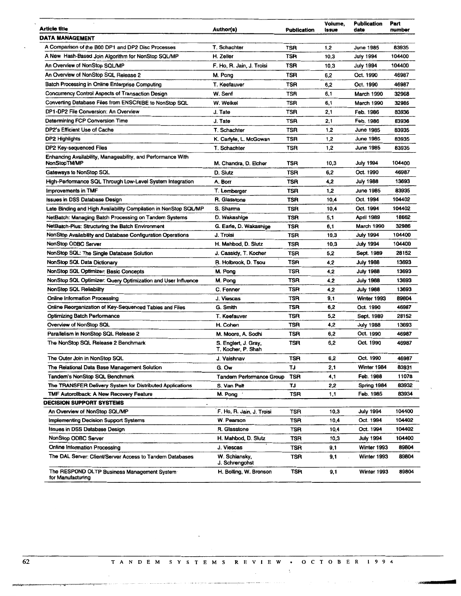| Article title                                                     | Author(s)                       | <b>Publication</b> | Volume,<br>Issue | <b>Publication</b><br>date | Part<br>number |
|-------------------------------------------------------------------|---------------------------------|--------------------|------------------|----------------------------|----------------|
| DATA MANAGEMENT                                                   |                                 |                    |                  |                            |                |
| A Comparison of the B00 DP1 and DP2 Disc Processes                | T. Schachter                    | TSR                | 1,2              | <b>June 1985</b>           | 83935          |
| A New Hash-Based Join Algorithm for NonStop SQL/MP                | H. Zeller                       | TSR                | 10,3             | <b>July 1994</b>           | 104400         |
| An Overview of NonStop SQL/MP                                     | F. Ho, R. Jain, J. Troisi       | TSR                | 10,3             | <b>July 1994</b>           | 104400         |
| An Overview of NonStop SQL Release 2                              | M. Pong                         | TSR                | 6,2              | Oct. 1990                  | 46987          |
| Batch Processing in Online Enterprise Computing                   | T. Keefauver                    | TSR                | 6,2              | Oct. 1990                  | 46987          |
| <b>Concurrency Control Aspects of Transaction Design</b>          | W. Senf                         | TSR                | 6,1              | March 1990                 | 32968          |
| Converting Database Files from ENSCRIBE to NonStop SQL            | W. Weikel                       | TSR                | 6,1              | March 1990                 | 32986          |
| DP1-DP2 File Conversion: An Overview                              | J. Tate                         | TSR                | 2,1              | Feb. 1986                  | 83936          |
| Determining FCP Conversion Time                                   | J. Tate                         | TSR                | 2,1              | Feb. 1986                  | 83936          |
| DP2's Efficient Use of Cache                                      | T. Schachter                    | TSR                | 1,2              | June 1985                  | 83935          |
| DP2 Highlights                                                    | K. Carlyle, L. McGowan          | TSR                | 1,2              | <b>June 1985</b>           | 83935          |
| DP2 Key-sequenced Files                                           | T. Schachter                    | TSR                | 1,2              | <b>June 1985</b>           | 83935          |
| Enhancing Availability, Manageability, and Performance With       |                                 |                    |                  |                            |                |
| NonStopTM/MP                                                      | M. Chandra, D. Eicher           | TSR                | 10,3             | July 1994                  | 104400         |
| Gateways to NonStop SQL                                           | D. Slutz                        | TSR                | 6,2              | Oct. 1990                  | 46987          |
| High-Performance SQL Through Low-Level System Integration         | A. Borr                         | TSR                | 4,2              | July 1988                  | 13693          |
| <b>Improvements in TMF</b>                                        | T. Lemberger                    | <b>TSR</b>         | 1,2              | June 1985                  | 83935          |
| <b>Issues in DSS Database Design</b>                              | R. Glasstone                    | TSR                | 10,4             | Oct. 1994                  | 104402         |
| Late Binding and High Availability Compilation in NonStop SQL/MP  | S. Sharma                       | TSR                | 10,4             | Oct. 1994                  | 104402         |
| NetBatch: Managing Batch Processing on Tandem Systems             | D. Wakashige                    | TSR                | 5,1              | <b>April 1989</b>          | 18662          |
| NetBatch-Plus: Structuring the Batch Environment                  | G. Earle, D. Wakashige          | TSR                | 6,1              | March 1990                 | 32986          |
| <b>NonStop Availability and Database Configuration Operations</b> | J. Troisi                       | TSR                | 10,3             | <b>July 1994</b>           | 104400         |
| <b>NonStop ODBC Server</b>                                        | H. Mahbod, D. Slutz             | TSR                | 10,3             | <b>July 1994</b>           | 104400         |
| NonStop SQL: The Single Database Solution                         | J. Cassidy, T. Kocher           | TSR                | 5,2              | Sept. 1989                 | 28152          |
| <b>NonStop SQL Data Dictionary</b>                                | R. Holbrook, D. Tsou            | TSR                | 4,2              | <b>July 1988</b>           | 13693          |
| <b>NonStop SQL Optimizer: Basic Concepts</b>                      | M. Pong                         | TSR                | 4,2              | <b>July 1988</b>           | 13693          |
| NonStop SQL Optimizer: Query Optimization and User Influence      | M. Pong                         | TSR                | 4,2              | <b>July 1988</b>           | 13693          |
| <b>NonStop SQL Reliability</b>                                    | C. Fenner                       | <b>TSR</b>         | 4,2              | <b>July 1988</b>           | 13693          |
| <b>Online Information Processing</b>                              | J. Viescas                      | TSR                | 9,1              | Winter 1993                | 89804          |
| Online Reorganization of Key-Sequenced Tables and Files           | G. Smith                        | TSR                | 6,2              | Oct. 1990                  | 46987          |
| <b>Optimizing Batch Performance</b>                               | T. Keefauver                    | TSR                | 5,2              | Sept. 1989                 | 28152          |
| Overview of NonStop SQL                                           | H. Cohen                        | TSR                | 4,2              | <b>July 1988</b>           | 13693          |
| Parailelism in NonStop SQL Release 2                              | M. Moore, A. Sodhi              | <b>TSR</b>         | 6,2              | Oct. 1990                  | 46987          |
| The NonStop SQL Release 2 Benchmark                               | S. Englert, J. Gray,            | <b>TSR</b>         | 6,2              | Oct. 1990                  | 46987          |
|                                                                   | T. Kocher, P. Shah              |                    |                  |                            |                |
| The Outer Join in NonStop SQL                                     | J. Vaishnav                     | TSR                | 6,2              | Oct. 1990                  | 46987          |
| The Relational Data Base Management Solution                      | G. Ow                           | TJ                 | 2,1              | Winter 1984                | 83931          |
| Tandem's NonStop SQL Benchmark                                    | Tandem Performance Group        | TSR                | 4,1              | Feb. 1988                  | 11078          |
| The TRANSFER Delivery System for Distributed Applications         | S. Van Pelt                     | TJ                 | 2,2              | Spring 1984                | 83932          |
| TMF Autoroliback: A New Recovery Feature                          | M. Pong                         | TSR                | 1,1              | Feb. 1985                  | 83934          |
| <b>DECISION SUPPORT SYSTEMS</b>                                   |                                 |                    |                  |                            |                |
| An Overview of NonStop SQL/MP                                     | F. Ho, R. Jain, J. Troisi       | TSR                | 10,3             | <b>July 1994</b>           | 104400         |
| <b>Implementing Decision Support Systems</b>                      | W. Pearson                      | TSR                | 10,4             | Oct. 1994                  | 104402         |
| <b>Issues in DSS Database Design</b>                              | R. Glasstone                    | TSR                | 10,4             | Oct. 1994                  | 104402         |
| <b>NonStop ODBC Server</b>                                        | H. Mahbod, D. Slutz             | TSR                | 10,3             | July 1994                  | 104400         |
| <b>Online Information Processing</b>                              | J. Viescas                      | TSR                | 9,1              | Winter 1993                | 89804          |
| The DAL Server: Client/Server Access to Tandem Databases          | W. Schiansky,<br>J. Schrengohst | TSR                | 9,1              | Winter 1993                | 89804          |
| The RESPOND OLTP Business Management System<br>for Manufacturing  | H. Bolling, W. Bronson          | TSR                | 9,1              | Winter 1993                | 89804          |

and the second control of the second control of the second control of the second control of the second control o

 $\sim$ 

 $\label{eq:1.1} \begin{split} \mathcal{L}_{\text{GUT}}(x,y) &= \mathcal{L}_{\text{GUT}}(x,y) + \mathcal{L}_{\text{GUT}}(x,y) + \mathcal{L}_{\text{GUT}}(x,y) + \mathcal{L}_{\text{GUT}}(x,y) + \mathcal{L}_{\text{GUT}}(x,y) + \mathcal{L}_{\text{GUT}}(x,y) + \mathcal{L}_{\text{GUT}}(x,y) + \mathcal{L}_{\text{GUT}}(x,y) + \mathcal{L}_{\text{GUT}}(x,y) + \mathcal{L}_{\text{GUT}}(x,y) + \mathcal{L}_{\text{GUT}}(x,y) + \math$ 

 $\sim$   $^{-1}$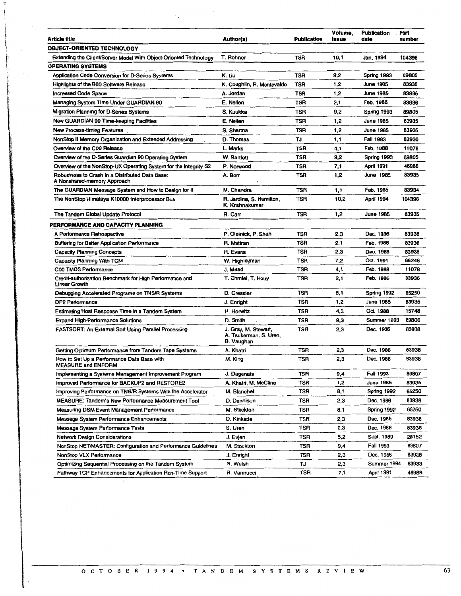| <b>Article title</b>                                                           | Author(s)                                                    | <b>Publication</b> | Volume,<br><b>Issue</b> | <b>Publication</b><br>date | Part<br>number |
|--------------------------------------------------------------------------------|--------------------------------------------------------------|--------------------|-------------------------|----------------------------|----------------|
| <b>OBJECT-ORIENTED TECHNOLOGY</b>                                              |                                                              |                    |                         |                            |                |
| Extending the Client/Server Model With Object-Oriented Technology              | T. Rohner                                                    | <b>TSR</b>         | 10.1                    | Jan. 1994                  | 104396         |
| <b>OPERATING SYSTEMS</b>                                                       |                                                              |                    |                         |                            |                |
| Application Code Conversion for D-Series Systems                               | K. Liu                                                       | TSR                | 9,2                     | Spring 1993                | 89805          |
| <b>Highlights of the B00 Software Release</b>                                  | K. Coughlin, R. Montevaldo                                   | TSR                | 1,2                     | June 1985                  | 83935          |
| <b>Increased Code Space</b>                                                    | A. Jordan                                                    | TSR                | 1,2                     | June 1985                  |                |
| Managing System Time Under GUARDIAN 90                                         | E. Nellen                                                    | <b>TSR</b>         | 2,1                     | Feb. 1986                  |                |
| Migration Planning for D-Series Systems                                        | S. Kuukka                                                    | <b>TSR</b>         | 9,2                     | Spring 1993                |                |
| New GUARDIAN 90 Time-keeping Facilities                                        | E. Nellen                                                    | <b>TSR</b>         | 1,2                     | June 1985                  |                |
| <b>New Process-timing Features</b>                                             | S. Sharma                                                    | TSR                | 1,2                     | <b>June 1985</b>           |                |
| NonStop II Memory Organization and Extended Addressing                         | D. Thomas                                                    | TJ                 | 1,1                     | <b>Fall 1983</b>           |                |
| Overview of the C00 Release                                                    | L. Marks                                                     | TSR                | 4,1                     | Feb. 1988                  |                |
| Overview of the D-Series Guardian 90 Operating System                          | W. Bartlett                                                  | TSR                | 9,2                     | Spring 1993                |                |
| Overview of the NonStop-UX Operating System for the Integrity S2               | P. Norwood                                                   | <b>TSR</b>         | 7,1                     | April 1991                 |                |
| Robustness to Crash in a Distributed Data Base:<br>A Nonshared-memory Approach | A. Borr                                                      | TSR                | 1,2                     | June 1985                  |                |
| The GUARDIAN Message System and How to Design for It                           | M. Chandra                                                   | TSR                | 1,1                     | Feb. 1985                  |                |
| The NonStop Himalaya K10000 Interprocessor Bus                                 | R. Jardine, S. Hamilton,<br>K. Krishnakumar                  | TSR                | 10,2                    | April 1994                 |                |
| The Tandern Global Update Protocol                                             | R. Carr                                                      | <b>TSR</b>         | 1,2                     | June 1985                  |                |
| PERFORMANCE AND CAPACITY PLANNING                                              |                                                              |                    |                         |                            |                |
| A Performance Retrospective                                                    | P. Oleinick, P. Shah                                         | TSR                | 2,3                     | Dec. 1986                  |                |
| <b>Buffering for Better Application Performance</b>                            | R. Mattran                                                   | TSR                | 2,1                     | Feb. 1986                  |                |
| <b>Capacity Planning Concepts</b>                                              | R. Evans                                                     | TSR                | 2,3                     | Dec. 1986                  |                |
| Capacity Planning With TCM                                                     | W. Highleyman                                                | TSR                | 7,2                     | Oct. 1991                  |                |
| C00 TMDS Performance                                                           | J. Mead                                                      | TSR                | 4,1                     | Feb. 1988                  |                |
| Credit-authorization Benchmark for High Performance and<br>Linear Growth       | T. Chmiel, T. Houy                                           | TSR                | 2,1                     | Feb. 1986                  |                |
| Debugging Accelerated Programs on TNS/R Systems                                | D. Cressler                                                  | TSR                | 8,1                     | Spring 1992                |                |
| <b>DP2 Performance</b>                                                         | J. Enright                                                   | <b>TSR</b>         | 1,2                     | June 1985                  |                |
| Estimating Host Response Time in a Tandem System                               | H. Horwitz                                                   | TSR                | 4,3                     | Oct. 1988                  |                |
| <b>Expand High-Performance Solutions</b>                                       | D. Smith                                                     | TSR                | 9,3                     | Summer 1993                |                |
| FASTSORT: An External Sort Using Parallel Processing                           | J. Gray, M. Stewart,<br>A. Tsukerman, S. Uren,<br>B. Vaughan | TSR                | 2,3                     | Dec. 1986                  |                |
| Getting Optimum Performance from Tandem Tape Systems                           | A. Khatri                                                    | TSR                | 2,3                     | Dec. 1986                  |                |
| How to Set Up a Performance Data Base with<br><b>MEASURE and ENFORM</b>        | M. King                                                      | TSR                | 2,3                     | Dec. 1986                  |                |
| Implementing a Systems Management Improvement Program                          | J. Dagenais                                                  | TSR                | 9,4                     | Fall 1993                  |                |
| Improved Performance for BACKUP2 and RESTORE2                                  | A. Khatri, M. McCline                                        | TSR                | 1,2                     | June 1985                  |                |
| Improving Performance on TNS/R Systems With the Accelerator                    | M. Blanchet                                                  | TSR                | 8,1                     | Spring 1992                |                |
| <b>MEASURE: Tandem's New Performance Measurement Tool</b>                      | D. Dennison                                                  | TSR                | 2,3                     | Dec. 1986                  |                |
| <b>Measuring DSM Event Management Performance</b>                              | M. Stockton                                                  | TSR                | 8,1                     | Spring 1992                |                |
| Message System Performance Enhancements                                        | D. Kinkade                                                   | TSR                | 2,3                     | Dec. 1986                  |                |
| Message System Performance Tests                                               | S. Uren                                                      | TSR                | 2,3                     | Dec. 1986                  |                |
| <b>Network Design Considerations</b>                                           | J. Evjen                                                     | TSR                | 5,2                     | Sept. 1989                 |                |
| NonStop NET/MASTER: Configuration and Performance Guidelines                   | M. Stockton                                                  | TSR                | 9,4                     | Fall 1993                  |                |
| NonStop VLX Performance                                                        | J. Enright                                                   | TSR                | 2,3                     | Dec. 1986                  |                |
| Optimizing Sequential Processing on the Tandem System                          | R. Welsh                                                     | TJ                 | 2,3                     | Summer 1984                |                |
| Pathway TCP Enhancements for Application Run-Time Support                      | R. Vannucci                                                  | TSR                | 7,1                     | April 1991                 |                |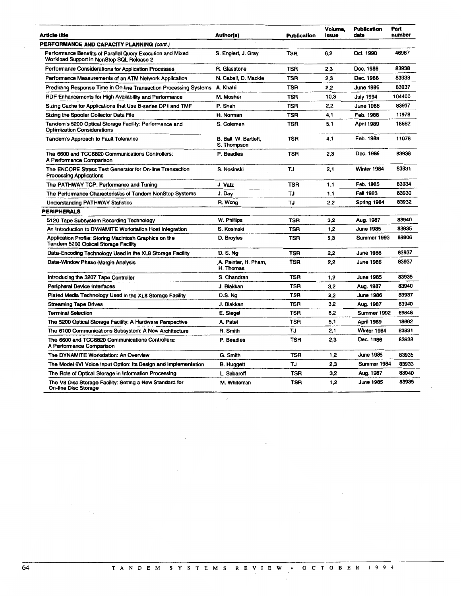| Article title                                                                                           | Author(s)                            | <b>Publication</b> | Volume.<br>Issue | <b>Publication</b><br>date | Part<br>number |
|---------------------------------------------------------------------------------------------------------|--------------------------------------|--------------------|------------------|----------------------------|----------------|
| PERFORMANCE AND CAPACITY PLANNING (cont.)                                                               |                                      |                    |                  |                            |                |
| Performance Benefits of Parallel Query Execution and Mixed<br>Workload Support in NonStop SQL Release 2 | S. Englert, J. Gray                  | <b>TSR</b>         | 6,2              | Oct. 1990                  | 46987          |
| <b>Performance Considerations for Application Processes</b>                                             | R. Glasstone                         | <b>TSR</b>         | 2,3              | Dec. 1986                  | 83938          |
| Performance Measurements of an ATM Network Application                                                  | N. Cabell, D. Mackie                 | TSR                | 2,3              | Dec. 1986                  | 83938          |
| Predicting Response Time in On-line Transaction Processing Systems                                      | A. Khatri                            | <b>TSR</b>         | 2,2              | <b>June 1986</b>           | 83937          |
| RDF Enhancements for High Availability and Performance                                                  | M. Mosher                            | TSR                | 10,3             | <b>July 1994</b>           | 104400         |
| Sizing Cache for Applications that Use B-series DP1 and TMF                                             | P. Shah                              | <b>TSR</b>         | 2,2              | <b>June 1986</b>           | 83937          |
| Sizing the Spooler Collector Data File                                                                  | H. Norman                            | <b>TSR</b>         | 4.1              | Feb. 1988                  | 11978          |
| Tandem's 5200 Optical Storage Facility: Performance and<br><b>Optimization Considerations</b>           | S. Coleman                           | <b>TSR</b>         | 5,1              | <b>April 1989</b>          | 18662          |
| <b>Tandem's Approach to Fault Tolerance</b>                                                             | B. Ball, W. Bartlett,<br>S. Thompson | <b>TSR</b>         | 4,1              | Feb. 1988                  | 11078          |
| The 6600 and TCC6820 Communications Controllers:<br>A Performance Comparison                            | P. Beadles                           | <b>TSR</b>         | 2,3              | Dec. 1986                  | 83938          |
| The ENCORE Stress Test Generator for On-line Transaction<br><b>Processing Applications</b>              | S. Kosinski                          | TJ                 | 2,1              | Winter 1984                | 83931          |
| The PATHWAY TCP: Performance and Tuning                                                                 | J. Vatz                              | TSR                | 1,1              | Feb. 1985                  | 83934          |
| The Performance Characteristics of Tandem NonStop Systems                                               | J. Day                               | TJ                 | 1,1              | Fall 1983                  | 83930          |
| <b>Understanding PATHWAY Statistics</b>                                                                 | R. Wong                              | TJ                 | 2,2              | Spring 1984                | 83932          |
| <b>PERIPHERALS</b>                                                                                      |                                      |                    |                  |                            |                |
| 5120 Tape Subsystem Recording Technology                                                                | W. Phillips                          | <b>TSR</b>         | 3,2              | Aug. 1987                  | 83940          |
| An Introduction to DYNAMITE Workstation Host Integration                                                | S. Kosinski                          | TSR                | 1,2              | June 1985                  | 83935          |
| Application Profile: Storing Macintosh Graphics on the<br><b>Tandem 5200 Optical Storage Facility</b>   | D. Broyles                           | <b>TSR</b>         | 9,3              | Summer 1993                | 89806          |
| Data-Encoding Technology Used in the XL8 Storage Facility                                               | <b>D.S.Ng</b>                        | <b>TSR</b>         | 2,2              | <b>June 1986</b>           | 83937          |
| Data-Window Phase-Margin Analysis                                                                       | A. Painter, H. Pham,<br>H. Thomas    | TSR                | 2,2              | <b>June 1986</b>           | 83937          |
| Introducing the 3207 Tape Controller                                                                    | S. Chandran                          | TSR                | 1,2              | <b>June 1985</b>           | 83935          |
| Peripheral Device Interfaces                                                                            | J. Blakkan                           | <b>TSR</b>         | 3,2              | Aug. 1987                  | 83940          |
| Plated Media Technology Used in the XL8 Storage Facility                                                | <b>D.S. Ng</b>                       | <b>TSR</b>         | 2,2              | June 1986                  | 83937          |
| <b>Streaming Tape Drives</b>                                                                            | J. Blakkan                           | <b>TSR</b>         | 3.2              | Aug. 1987                  | 83940          |
| <b>Terminal Selection</b>                                                                               | E. Siegel                            | <b>TSR</b>         | 8.2              | Summer 1992                | 69848          |
| The 5200 Optical Storage Facility: A Hardware Perspective                                               | A. Patel                             | TSR                | 5,1              | April 1989                 | 18662          |
| The 6100 Communications Subsystem: A New Architecture                                                   | R. Smith                             | TJ                 | 2,1              | Winter 1984                | 83931          |
| The 6600 and TCC6820 Communications Controllers:<br>A Performance Comparison                            | P. Beadles                           | TSR                | 2,3              | Dec. 1986                  | 83938          |
| The DYNAMITE Workstation: An Overview                                                                   | G. Smith                             | TSR                | 1,2              | <b>June 1985</b>           | 83935          |
| The Model 6VI Voice Input Option: Its Design and Implementation                                         | <b>B. Huggett</b>                    | TJ                 | 2.3              | Summer 1984                | 83933          |
| The Role of Optical Storage in Information Processing                                                   | L. Sabaroff                          | <b>TSR</b>         | 3,2              | Aug. 1987                  | 83940          |
| The V8 Disc Storage Facility: Setting a New Standard for<br><b>On-line Disc Storage</b>                 | M. Whiteman                          | <b>TSR</b>         | 1,2              | <b>June 1985</b>           | 83935          |

 $\mathcal{L}^{\mathcal{L}}$  ,  $\mathcal{L}^{\mathcal{L}}$ 

 $\frac{1}{\sqrt{2}}$ 

 $\sim$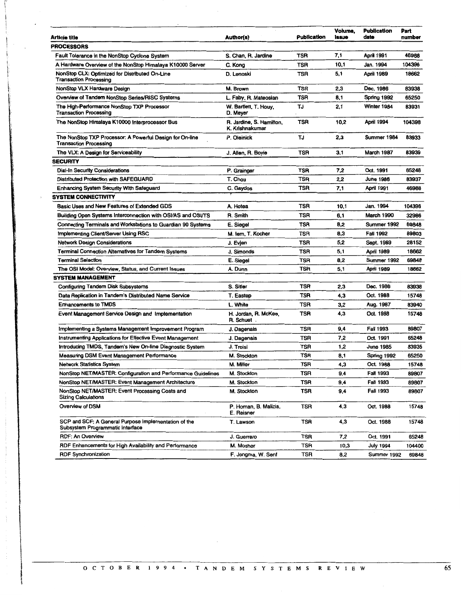| Article title                                                                             | Author(s)                                   | <b>Publication</b> | Volume,<br>issue | <b>Publication</b><br>date | Part<br>number |
|-------------------------------------------------------------------------------------------|---------------------------------------------|--------------------|------------------|----------------------------|----------------|
| <b>PROCESSORS</b>                                                                         |                                             |                    |                  |                            |                |
| Fault Tolerance in the NonStop Cyclone System                                             | S. Chan, R. Jardine                         | TSR                | 7,1              | April 1991                 | 46988          |
| A Hardware Overview of the NonStop Himalaya K10000 Server                                 | C. Kong                                     | <b>TSR</b>         | 10,1             | Jan. 1994                  | 104396         |
| NonStop CLX: Optimized for Distributed On-Line<br><b>Transaction Processing</b>           | D. Lenoski                                  | <b>TSR</b>         | 5,1              | <b>April 1989</b>          | 18662          |
| NonStop VLX Hardware Design                                                               | M. Brown                                    | <b>TSR</b>         | 2,3              | Dec. 1986                  | 83938          |
| Overview of Tandem NonStop Series/RISC Systems                                            | L. Faby, R. Mateosian                       | <b>TSR</b>         | 8,1              | Spring 1992                | 65250          |
| The High-Performance NonStop TXP Processor<br><b>Transaction Processing</b>               | W. Bartlett, T. Houy,<br>D. Meyer           | TJ                 | 2,1              | Winter 1984                | 83931          |
| The NonStop Himalaya K10000 Interprocessor Bus                                            | R. Jardine, S. Hamilton,<br>K. Krishnakumar | <b>TSR</b>         | 10,2             | April 1994                 | 104398         |
| The NonStop TXP Processor: A Powerful Design for On-line<br><b>Transaction Processing</b> | P. Oleinick                                 | TJ                 | 2,3              | Summer 1984                | 83933          |
| The VLX: A Design for Serviceability                                                      | J. Allen, R. Boyle                          | TSR                | 3,1              | <b>March 1987</b>          | 83939          |
| <b>SECURITY</b>                                                                           |                                             |                    |                  |                            |                |
| <b>Dial-In Security Considerations</b>                                                    | P. Grainger                                 | TSR                | 7,2              | Oct. 1991                  | 65248          |
| <b>Distributed Protection with SAFEGUARD</b>                                              | T. Chou                                     | <b>TSR</b>         | 2,2              | <b>June 1986</b>           | 83937          |
| <b>Enhancing System Security With Safeguard</b>                                           | C. Gaydos                                   | <b>TSR</b>         | 7,1              | <b>April 1991</b>          | 46988          |
| <b>SYSTEM CONNECTIVITY</b>                                                                |                                             |                    |                  |                            |                |
| Basic Uses and New Features of Extended GDS                                               | A. Hotea                                    | TSR                | 10,1             | Jan. 1994                  | 104396         |
| Building Open Systems Interconnection with OSI/AS and OSI/TS                              | R. Smith                                    | <b>TSR</b>         | 6,1              | March 1990                 | 32986          |
| Connecting Terminals and Workstations to Guardian 90 Systems                              | E. Siegel                                   | <b>TSR</b>         | 8,2              | Summer 1992                | 69848          |
| Implementing Client/Server Using RSC                                                      | M. lem, T. Kocher                           | TSR                | 8,3              | Fall 1992                  | 89803          |
| <b>Network Design Considerations</b>                                                      | J. Evjen                                    | TSR                | 5,2              | Sept. 1989                 | 28152          |
| Terminal Connection Alternatives for Tandem Systems                                       | J. Simonds                                  | TSR                | 5,1              | April 1989                 | 18662          |
| <b>Terminal Selection</b>                                                                 | E. Siegel                                   | TSR                | 8,2              | Summer 1992                | 69848          |
| The OSI Model: Overview, Status, and Current Issues                                       | A. Dunn                                     | TSR                | 5,1              | <b>April 1989</b>          | 18662          |
| SYSTEM MANAGEMENT                                                                         |                                             |                    |                  |                            |                |
| <b>Configuring Tandem Disk Subsystems</b>                                                 | S. Sitler                                   | TSR                | 2,3              | Dec. 1986                  | 83938          |
| Data Replication in Tandem's Distributed Name Service                                     | T. Eastep                                   | <b>TSR</b>         | 4,3              | Oct. 1988                  | 15748          |
| <b>Enhancements to TMDS</b>                                                               | L. White                                    | <b>TSR</b>         | 3,2              | Aug. 1987                  | 83940          |
| Event Management Service Design and Implementation                                        | H. Jordan, R. McKee,<br>R. Schuet.          | TSR                | 4,3              | Oct. 1988                  | 15748          |
| Implementing a Systems Management Improvement Program                                     | J. Dagenais                                 | <b>TSR</b>         | 9.4              | <b>Fall 1993</b>           | 89807          |
| <b>Instrumenting Applications for Effective Event Management</b>                          | J. Dagenais                                 | <b>TSR</b>         | 7,2              | Oct. 1991                  | 65248          |
| Introducing TMDS, Tandem's New On-line Diagnostic System                                  | J. Troisi                                   | <b>TSR</b>         | 1,2              | <b>June 1985</b>           | 83935          |
| <b>Measuring DSM Event Management Performance</b>                                         | M. Stockton                                 | TSR                | 8,1              | Spring 1992                | 65250          |
| <b>Network Statistics System</b>                                                          | M. Miller                                   | TSR                | 4,3              | Oct. 1988                  | 15748          |
| NonStop NET/MASTER: Configuration and Performance Guidelines                              | M. Stockton                                 | TSR                | 9,4              | Fall 1993                  | 89807          |
| NonStop NET/MASTER: Event Management Architecture                                         | M. Stockton                                 | <b>TSR</b>         | 9,4              | Fall 1993                  | 89807          |
| NonStop NET/MASTER: Event Processing Costs and<br><b>Sizing Calculations</b>              | M. Stockton                                 | TSR                | 9,4              | Fall 1993                  | 89807          |
| Overview of DSM                                                                           | P. Homan, B. Malizia,<br>E. Reisner         | TSR                | 4,3              | Oct. 1988                  | 15748          |
| SCP and SCF: A General Purpose Implementation of the<br>Subsystem Programmatic Interface  | T. Lawson                                   | TSR                | 4,3              | Oct. 1988                  | 15748          |
| RDF: An Overview                                                                          | J. Guerrero                                 | TSR                | 7,2              | Oct. 1991                  | 65248          |
| RDF Enhancements for High Availability and Performance                                    | M. Mosher                                   | TSR                | 10,3             | <b>July 1994</b>           | 104400         |
| <b>RDF Synchronization</b>                                                                | F. Jongma, W. Senf                          | TSR                | 8,2              | Summer 1992                | 69848          |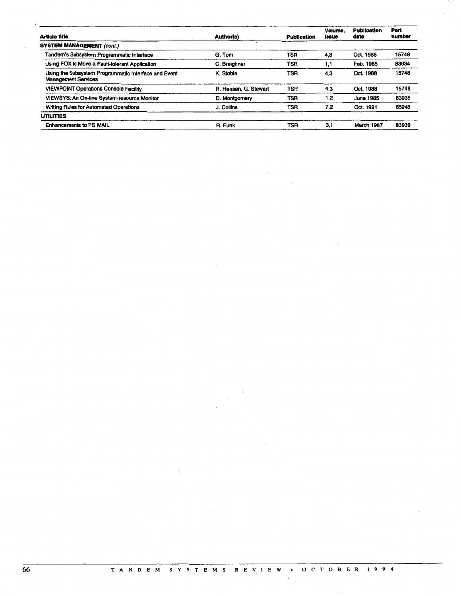|                       |            | Volume.<br>issue   | <b>Publication</b><br>date | Part<br>number |
|-----------------------|------------|--------------------|----------------------------|----------------|
|                       |            |                    |                            |                |
| G. Tom                | TSR        | 4,3                | Oct. 1988                  | 15748          |
| C. Breighner          | <b>TSR</b> | 1,1                | Feb. 1985                  | 83934          |
| K. Stobie             | TSR        | 4,3                | Oct. 1988                  | 15748          |
| R. Hansen, G. Stewart | TSR        | 4,3                | Oct. 1988                  | 15748          |
| D. Montgomery         | TSR        | 1.2                | June 1985                  | 83935          |
| J. Collins            | TSR        | 7.2                | Oct. 1991                  | 65248          |
|                       |            |                    |                            |                |
| R. Funk               | TSR        | 3.1                | March 1987                 | 83939          |
|                       | Author(s)  | <b>Publication</b> |                            |                |

 $\bar{z}$ 

J.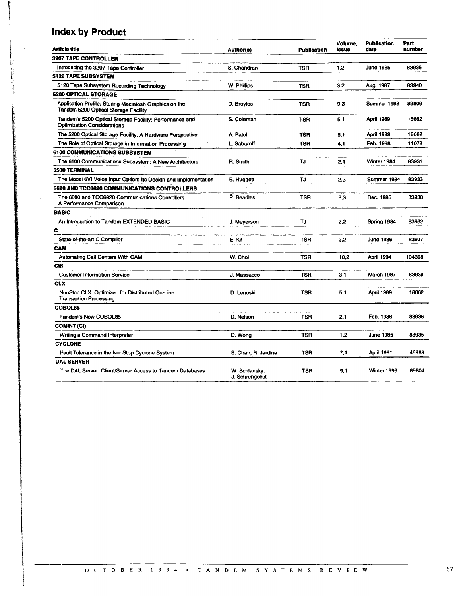## <sup>I</sup>**Index by Product**

l i

 $\mathbb{R}^+$ 

| Article title                                                                                  | Author(s)                       | <b>Publication</b> | Volume.<br>Issue | <b>Publication</b><br>date | Part<br>number |
|------------------------------------------------------------------------------------------------|---------------------------------|--------------------|------------------|----------------------------|----------------|
| <b>3207 TAPE CONTROLLER</b>                                                                    |                                 |                    |                  |                            |                |
| Introducing the 3207 Tape Controller                                                           | S. Chandran                     | <b>TSR</b>         | 1,2              | June 1985                  | 83935          |
| 5120 TAPE SUBSYSTEM                                                                            |                                 |                    |                  |                            |                |
| 5120 Tape Subsystem Recording Technology                                                       | W. Phillips                     | <b>TSR</b>         | 3,2              | Aug. 1987                  | 83940          |
| <b>5200 OPTICAL STORAGE</b>                                                                    |                                 |                    |                  |                            |                |
| Application Profile: Storing Macintosh Graphics on the<br>Tandem 5200 Optical Storage Facility | D. Broyles                      | TSR                | 9,3              | Summer 1993                | 89806          |
| Tandem's 5200 Optical Storage Facility: Performance and<br><b>Optimization Considerations</b>  | S. Coleman                      | <b>TSR</b>         | 5,1              | April 1989                 | 18662          |
| The 5200 Optical Storage Facility: A Hardware Perspective                                      | A. Patel                        | <b>TSR</b>         | 5,1              | April 1989                 | 18662          |
| The Role of Optical Storage in Information Processing                                          | L. Sabaroff                     | <b>TSR</b>         | 4.1              | Feb. 1988                  | 11078          |
| <b>6100 COMMUNICATIONS SUBSYSTEM</b>                                                           |                                 |                    |                  |                            |                |
| The 6100 Communications Subsystem: A New Architecture                                          | R. Smith                        | TJ                 | 2,1              | Winter 1984                | 83931          |
| <b>6530 TERMINAL</b>                                                                           |                                 |                    |                  |                            |                |
| The Model 6VI Voice Input Option: Its Design and Implementation                                | <b>B. Huggett</b>               | ТJ                 | 2.3              | Summer 1984                | 83933          |
| 6600 AND TCC6820 COMMUNICATIONS CONTROLLERS                                                    |                                 |                    |                  |                            |                |
| The 6600 and TCC6820 Communications Controllers:<br>A Performance Comparison                   | P. Beadles                      | <b>TSR</b>         | 2,3              | Dec. 1986                  | 83938          |
| <b>BASIC</b>                                                                                   |                                 |                    |                  |                            |                |
| An Introduction to Tandem EXTENDED BASIC                                                       | J. Meyerson                     | TJ                 | 2,2              | Spring 1984                | 83932          |
| c                                                                                              |                                 |                    |                  |                            |                |
| State-of-the-art C Compiler                                                                    | E. Kit                          | TSR                | 2,2              | <b>June 1986</b>           | 83937          |
| CAM                                                                                            |                                 |                    |                  |                            |                |
| <b>Automating Call Centers With CAM</b>                                                        | W. Choi                         | <b>TSR</b>         | 10.2             | April 1994                 | 104398         |
| <b>CIS</b>                                                                                     |                                 |                    |                  |                            |                |
| Customer Information Service                                                                   | J. Massucco                     | <b>TSR</b>         | 3.1              | March 1987                 | 83939          |
| <b>CLX</b>                                                                                     |                                 |                    |                  |                            |                |
| NonStop CLX: Optimized for Distributed On-Line<br><b>Transaction Processing</b>                | D. Lenoski                      | TSR                | 5,1              | <b>April 1989</b>          | 18662          |
| COBOL85                                                                                        |                                 |                    |                  |                            |                |
| <b>Tandem's New COBOL85</b>                                                                    | D. Nelson                       | <b>TSR</b>         | 2,1              | Feb. 1986                  | 83936          |
| COMINT (CI)                                                                                    |                                 |                    |                  |                            |                |
| Writing a Command Interpreter                                                                  | D. Wong                         | TSR                | 1.2              | <b>June 1985</b>           | 83935          |
| <b>CYCLONE</b>                                                                                 |                                 |                    |                  |                            |                |
| Fault Tolerance in the NonStop Cyclone System                                                  | S. Chan, R. Jardine             | TSR                | 7,1              | April 1991                 | 46988          |
| <b>DAL SERVER</b>                                                                              |                                 |                    |                  |                            |                |
| The DAL Server: Client/Server Access to Tandem Databases                                       | W. Schlansky,<br>J. Schrengohst | TSR                | 9,1              | Winter 1993                | 89804          |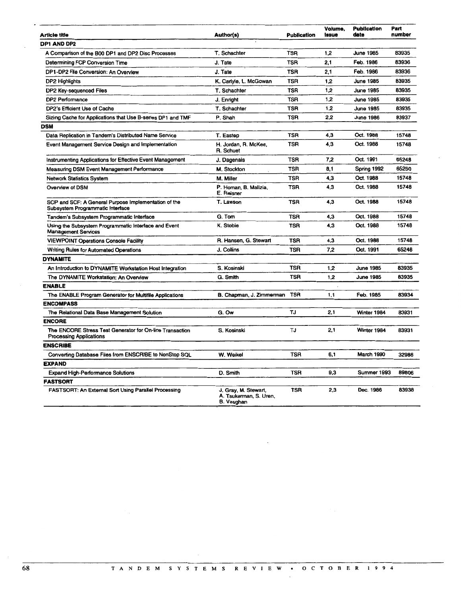| Article title                                                                              | Author(s)                                                           | Publication | Volume,<br><b>Issue</b> | <b>Publication</b><br>date | Part<br>number |
|--------------------------------------------------------------------------------------------|---------------------------------------------------------------------|-------------|-------------------------|----------------------------|----------------|
| DP1 AND DP2                                                                                |                                                                     |             |                         |                            |                |
| A Comparison of the B00 DP1 and DP2 Disc Processes                                         | T. Schachter                                                        | TSR         | 1,2                     | June 1985                  | 83935          |
| <b>Determining FCP Conversion Time</b>                                                     | J. Tate                                                             | <b>TSR</b>  | 2,1                     | Feb. 1986                  | 83936          |
| DP1-DP2 File Conversion: An Overview                                                       | J. Tate                                                             | <b>TSR</b>  | 2,1                     | Feb. 1986                  | 83936          |
| DP2 Highlights                                                                             | K. Carlyle, L. McGowan                                              | TSR         | 1,2                     | <b>June 1985</b>           | 83935          |
| DP2 Key-sequenced Files                                                                    | T. Schachter                                                        | <b>TSR</b>  | 1,2                     | <b>June 1985</b>           | 83935          |
| <b>DP2 Performance</b>                                                                     | J. Enright                                                          | <b>TSR</b>  | 1,2                     | <b>June 1985</b>           | 83935          |
| DP2's Efficient Use of Cache                                                               | T. Schachter                                                        | TSR         | 1.2                     | <b>June 1985</b>           | 83935          |
| Sizing Cache for Applications that Use B-series DP1 and TMF                                | P. Shah                                                             | <b>TSR</b>  | 2.2                     | <b>June 1986</b>           | 83937          |
| DSM                                                                                        |                                                                     |             |                         |                            |                |
| Data Replication in Tandem's Distributed Name Service                                      | T. Eastep                                                           | <b>TSR</b>  | 4,3                     | Oct. 1988                  | 15748          |
| Event Management Service Design and Implementation                                         | H. Jordan, R. McKee,<br>R. Schuet                                   | <b>TSR</b>  | 4,3                     | Oct. 1988                  | 15748          |
| Instrumenting Applications for Effective Event Management                                  | J. Dagenais                                                         | <b>TSR</b>  | 7,2                     | Oct. 1991                  | 65248          |
| <b>Measuring DSM Event Management Performance</b>                                          | M. Stockton                                                         | <b>TSR</b>  | 8.1                     | Spring 1992                | 65250          |
| <b>Network Statistics System</b>                                                           | M. Miller                                                           | <b>TSR</b>  | 4,3                     | Oct. 1988                  | 15748          |
| Overview of DSM                                                                            | P. Homan, B. Malizia,<br>E. Reisner                                 | TSR         | 4,3                     | Oct. 1988                  | 15748          |
| SCP and SCF: A General Purpose Implementation of the<br>Subsystem Programmatic Interface   | T. Lawson                                                           | TSR         | 4,3                     | Oct. 1988                  | 15748          |
| Tandem's Subsystem Programmatic Interface                                                  | G. Tom                                                              | <b>TSR</b>  | 4,3                     | Oct. 1988                  | 15748          |
| Using the Subsystem Programmatic Interface and Event<br><b>Management Services</b>         | K. Stobie                                                           | <b>TSR</b>  | 4,3                     | Oct. 1988                  | 15748          |
| <b>VIEWPOINT Operations Console Facility</b>                                               | R. Hansen, G. Stewart                                               | <b>TSR</b>  | 4.3                     | Oct. 1988                  | 15748          |
| <b>Writing Rules for Automated Operations</b>                                              | J. Collins                                                          | TSR         | 7,2                     | Oct. 1991                  | 65248          |
| <b>DYNAMITE</b>                                                                            |                                                                     |             |                         |                            |                |
| An Introduction to DYNAMITE Workstation Host Integration                                   | S. Kosinski                                                         | TSR         | 1,2                     | <b>June 1985</b>           | 83935          |
| The DYNAMITE Workstation: An Overview                                                      | G. Smith                                                            | <b>TSR</b>  | 1,2                     | <b>June 1985</b>           | 83935          |
| <b>ENABLE</b>                                                                              |                                                                     |             |                         |                            |                |
| The ENABLE Program Generator for Multifile Applications                                    | B. Chapman, J. Zimmerman                                            | <b>TSR</b>  | 1,1                     | Feb. 1985                  | 83934          |
| <b>ENCOMPASS</b>                                                                           |                                                                     |             |                         |                            |                |
| The Relational Data Base Management Solution                                               | G. Ow                                                               | TJ          | 2.1                     | Winter 1984                | 83931          |
| <b>ENCORE</b>                                                                              |                                                                     |             |                         |                            |                |
| The ENCORE Stress Test Generator for On-line Transaction<br><b>Processing Applications</b> | S. Kosinski                                                         | TJ          | 2.1                     | Winter 1984                | 83931          |
| <b>ENSCRIBE</b>                                                                            |                                                                     |             |                         |                            |                |
| Converting Database Files from ENSCRIBE to NonStop SQL                                     | W. Weikel                                                           | TSR         | 6.1                     | <b>March 1990</b>          | 32986          |
| <b>EXPAND</b>                                                                              |                                                                     |             |                         |                            |                |
| <b>Expand High-Performance Solutions</b>                                                   | D. Smith                                                            | <b>TSR</b>  | 9,3                     | Summer 1993                | 89806          |
| <b>FASTSORT</b>                                                                            |                                                                     |             |                         |                            |                |
| <b>FASTSORT: An External Sort Using Parallel Processing</b>                                | J. Gray, M. Stewart,<br>A. Tsukerman, S. Uren,<br><b>B. Vaughan</b> | <b>TSR</b>  | 2,3                     | Dec. 1986                  | 83938          |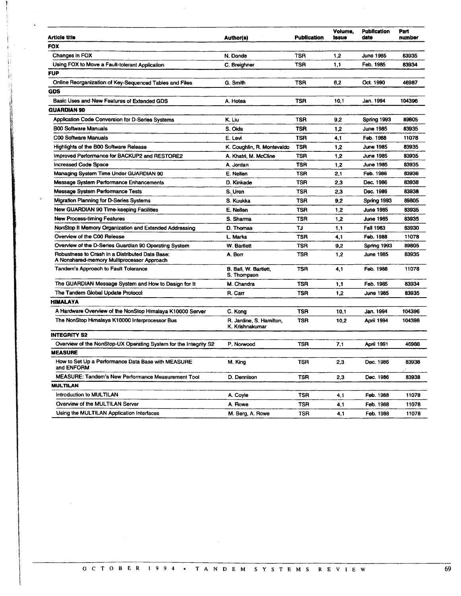| <b>Article title</b>                                                                          | Author(s)                                   | <b>Publication</b> | Volume.<br><b>Issue</b> | <b>Publication</b><br>date |  |
|-----------------------------------------------------------------------------------------------|---------------------------------------------|--------------------|-------------------------|----------------------------|--|
| <b>FOX</b>                                                                                    |                                             |                    |                         |                            |  |
| Changes in FOX                                                                                | N. Donde                                    | TSR                | 1,2                     | June 1985                  |  |
| Using FOX to Move a Fault-tolerant Application                                                | C. Breighner                                | <b>TSR</b>         | 1,1                     | Feb. 1985                  |  |
| <b>FUP</b>                                                                                    |                                             |                    |                         |                            |  |
| Online Reorganization of Key-Sequenced Tables and Files                                       | G. Smith                                    | <b>TSR</b>         | 6,2                     | Oct. 1990                  |  |
| <b>GDS</b>                                                                                    |                                             |                    |                         |                            |  |
| Basic Uses and New Features of Extended GDS                                                   | A. Hotea                                    | <b>TSR</b>         | 10.1                    | Jan. 1994                  |  |
| <b>GUARDIAN 90</b>                                                                            |                                             |                    |                         |                            |  |
| Application Code Conversion for D-Series Systems                                              | K. Liu                                      | TSR                | 9,2                     | Spring 1993                |  |
| <b>B00 Software Manuals</b>                                                                   | S. Olds                                     | <b>TSR</b>         | 1.2                     | June 1985                  |  |
| <b>C00 Software Manuals</b>                                                                   | E. Levi                                     | <b>TSR</b>         | 4,1                     | Feb. 1988                  |  |
| <b>Highlights of the B00 Software Release</b>                                                 | K. Coughlin, R. Montevaldo                  | <b>TSR</b>         | 1.2                     | <b>June 1985</b>           |  |
| Improved Performance for BACKUP2 and RESTORE2                                                 | A. Khatri, M. McCline                       | <b>TSR</b>         | 1,2                     | <b>June 1985</b>           |  |
| <b>Increased Code Space</b>                                                                   | A. Jordan                                   | <b>TSR</b>         | 1,2                     | <b>June 1985</b>           |  |
| Managing System Time Under GUARDIAN 90                                                        | E. Nellen                                   | <b>TSR</b>         | 2,1                     | Feb. 1986                  |  |
| Message System Performance Enhancements                                                       | D. Kinkade                                  | <b>TSR</b>         | 2,3                     | Dec. 1986                  |  |
| Message System Performance Tests                                                              | S. Uren                                     | <b>TSR</b>         | 2.3                     | Dec. 1986                  |  |
| <b>Migration Planning for D-Series Systems</b>                                                | S. Kuukka                                   | <b>TSR</b>         | 9,2                     | Spring 1993                |  |
| New GUARDIAN 90 Time-keeping Facilities                                                       | E. Nellen                                   | <b>TSR</b>         | 1.2                     | June 1985                  |  |
| <b>New Process-timing Features</b>                                                            | S. Sharma                                   | TSR                | 1,2                     | <b>June 1985</b>           |  |
| NonStop II Memory Organization and Extended Addressing                                        | D. Thomas                                   | TJ.                | 1.1                     | <b>Fall 1983</b>           |  |
| Overview of the C00 Release                                                                   | L. Marks                                    | <b>TSR</b>         | 4,1                     | Feb. 1988                  |  |
| Overview of the D-Series Guardian 90 Operating System                                         | W. Bartlett                                 | <b>TSR</b>         | 9,2                     | Spring 1993                |  |
| Robustness to Crash in a Distributed Data Base:<br>A Nonshared-memory Multiprocessor Approach | A. Borr                                     | <b>TSR</b>         | 1.2                     | <b>June 1985</b>           |  |
| Tandem's Approach to Fault Tolerance                                                          | B. Ball, W. Bartlett,<br>S. Thompson        | <b>TSR</b>         | 4,1                     | Feb. 1988                  |  |
| The GUARDIAN Message System and How to Design for It                                          | M. Chandra                                  | <b>TSR</b>         | 1,1                     | Feb. 1985                  |  |
| The Tandem Global Update Protocol                                                             | R. Carr                                     | <b>TSR</b>         | 1,2                     | <b>June 1985</b>           |  |
| <b>HIMALAYA</b>                                                                               |                                             |                    |                         |                            |  |
| A Hardware Overview of the NonStop Himalaya K10000 Server                                     | C. Kong                                     | <b>TSR</b>         | 10,1                    | Jan. 1994                  |  |
| The NonStop Himalaya K10000 Interprocessor Bus                                                | R. Jardine, S. Hamilton,<br>K. Krishnakumar | <b>TSR</b>         | 10,2                    | April 1994                 |  |
| <b>INTEGRITY S2</b>                                                                           |                                             |                    |                         |                            |  |
| Overview of the NonStop-UX Operating System for the Integrity S2                              | P. Norwood                                  | <b>TSR</b>         | 7,1                     | April 1991                 |  |
| <b>MEASURE</b>                                                                                |                                             |                    |                         |                            |  |
| How to Set Up a Performance Data Base with MEASURE<br>and ENFORM                              | M. King                                     | TSR                | 2,3                     | Dec. 1986                  |  |
| MEASURE: Tandem's New Performance Measurement Tool                                            | D. Dennison                                 | <b>TSR</b>         | 2,3                     | Dec. 1986                  |  |
| <b>MULTILAN</b>                                                                               |                                             |                    |                         |                            |  |
| Introduction to MULTILAN                                                                      | A. Coyle                                    | TSR                | 4.1                     | Feb. 1988                  |  |
| Overview of the MULTILAN Server                                                               | A. Rowe                                     | TSR                | 4,1                     | Feb. 1988                  |  |
| Using the MULTILAN Application Interfaces                                                     | M. Berg, A. Rowe                            | <b>TSR</b>         | 4,1                     | Feb. 1988                  |  |

 $\mathbf{i}$ Å B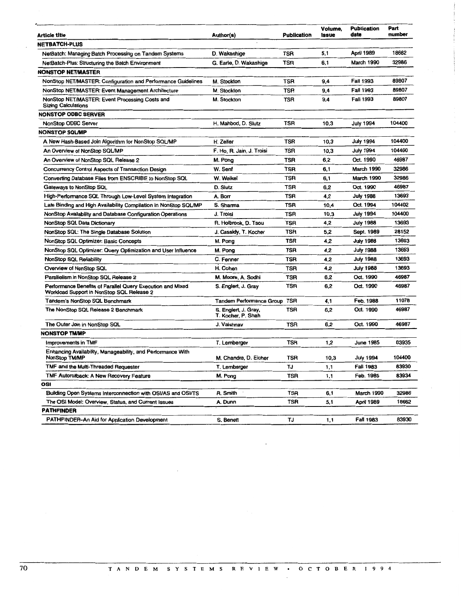| <b>Article title</b>                                                                                    | Author(s)                                  | <b>Publication</b> | Volume,<br>Issue | <b>Publication</b><br>date | Part<br>number |
|---------------------------------------------------------------------------------------------------------|--------------------------------------------|--------------------|------------------|----------------------------|----------------|
| NETBATCH-PLUS                                                                                           |                                            |                    |                  |                            |                |
| NetBatch: Managing Batch Processing on Tandem Systems                                                   | D. Wakashige                               | TSR                | 5,1              | <b>April 1989</b>          | 18662          |
| NetBatch-Plus: Structuring the Batch Environment                                                        | G. Earle, D. Wakashige                     | TSR                | 6.1              | <b>March 1990</b>          | 32986          |
| <b>NONSTOP NET/MASTER</b>                                                                               |                                            |                    |                  |                            |                |
| NonStop NET/MASTER: Configuration and Performance Guidelines                                            | M. Stockton                                | TSR                | 9,4              | Fall 1993                  | 89807          |
| NonStop NET/MASTER: Event Management Architecture                                                       | M. Stockton                                | TSR                | 9.4              | Fall 1993                  | 89807          |
| NonStop NET/MASTER: Event Processing Costs and<br><b>Sizing Calculations</b>                            | M. Stockton                                | TSR                | 9,4              | Fall 1993                  | 89807          |
| <b>NONSTOP ODBC SERVER</b>                                                                              |                                            |                    |                  |                            |                |
| <b>NonStop ODBC Server</b>                                                                              | H. Mahbod, D. Slutz                        | TSR                | 10,3             | July 1994                  | 104400         |
| <b>NONSTOP SQL/MP</b>                                                                                   |                                            |                    |                  |                            |                |
| A New Hash-Based Join Algorithm for NonStop SQL/MP                                                      | H. Zeller                                  | TSR                | 10,3             | July 1994                  | 104400         |
| An Overview of NonStop SQL/MP                                                                           | F. Ho, R. Jain, J. Troisi                  | TSR                | 10,3             | July 1994                  | 104400         |
| An Overview of NonStop SQL Release 2                                                                    | M. Pong                                    | TSR                | 6,2              | Oct. 1990                  | 46987          |
| Concurrency Control Aspects of Transaction Design                                                       | W. Senf                                    | TSR                | 6,1              | March 1990                 | 32986          |
| Converting Database Files from ENSCRIBE to NonStop SQL                                                  | W. Weikel                                  | TSR                | 6,1              | March 1990                 | 32986          |
| Gateways to NonStop SQL                                                                                 | D. Slutz                                   | TSR                | 6,2              | Oct. 1990                  | 46987          |
| High-Performance SQL Through Low-Level System Integration                                               | A. Borr                                    | TSR                | 4,2              | July 1988                  | 13693          |
| Late Binding and High Availability Compilation in NonStop SQL/MP                                        | S. Sharma                                  | TSR                | 10,4             | Oct. 1994                  | 104402         |
| NonStop Availability and Database Configuration Operations                                              | J. Troisi                                  | TSR                | 10,3             | July 1994                  | 104400         |
| NonStop SQL Data Dictionary                                                                             | R. Holbrook, D. Tsou                       | TSR                | 4,2              | July 1988                  | 13693          |
| NonStop SQL: The Single Database Solution                                                               | J. Cassidy, T. Kocher                      | TSR                | 5,2              | Sept. 1989                 | 28152          |
| NonStop SQL Optimizer: Basic Concepts                                                                   | M. Pong                                    | TSR                | 4,2              | July 1988                  | 13693          |
| NonStop SQL Optimizer: Query Optimization and User Influence                                            | M. Pong                                    | TSR                | 4,2              | <b>July 1988</b>           | 13693          |
| <b>NonStop SQL Reliability</b>                                                                          | C. Fenner                                  | TSR                | 4,2              | <b>July 1988</b>           | 13693          |
| Overview of NonStop SQL                                                                                 | H. Cohen                                   | TSR                | 4,2              | <b>July 1988</b>           | 13693          |
| Parallelism in NonStop SQL Release 2                                                                    | M. Moore, A. Sodhi                         | TSR                | 6,2              | Oct. 1990                  | 46987          |
| Performance Benefits of Parallel Query Execution and Mixed<br>Workload Support in NonStop SQL Release 2 | S. Englert, J. Gray                        | TSR                | 6,2              | Oct. 1990                  | 46987          |
| Tandem's NonStop SQL Benchmark                                                                          | Tandem Performance Group                   | <b>TSR</b>         | 4,1              | Feb. 1988                  | 11078          |
| The NonStop SQL Release 2 Benchmark                                                                     | S. Englert, J. Gray,<br>T. Kocher, P. Shah | <b>TSR</b>         | 6,2              | Oct. 1990                  | 46987          |
| The Outer Join in NonStop SQL                                                                           | J. Vaishnav                                | TSR                | 6,2              | Oct. 1990                  | 46987          |
| <b>NONSTOP TM/MP</b>                                                                                    |                                            |                    |                  |                            |                |
| Improvements in TMF                                                                                     | T. Lemberger                               | TSR                | 1,2              | June 1985                  | 83935          |
| Enhancing Availability, Manageability, and Performance With<br>NonStop TM/MP                            | M. Chandra, D. Eicher                      | TSR                | 10,3             | <b>July 1994</b>           | 104400         |
| TMF and the Multi-Threaded Requester                                                                    | T. Lemberger                               | TJ                 | 1,1              | Fall 1983                  | 83930          |
| TMF Autoroliback: A New Recovery Feature                                                                | M. Pong                                    | TSR                | 1,1              | Feb. 1985                  | 83934          |
| OSI                                                                                                     |                                            |                    |                  |                            |                |
| Building Open Systems Interconnection with OSI/AS and OSI/TS                                            | R. Smith                                   | TSR                | 6,1              | March 1990                 | 32986          |
| The OSI Model: Overview, Status, and Current Issues                                                     | A. Dunn                                    | TSR                | 5,1              | <b>April 1989</b>          | 18662          |
| PATHFINDER                                                                                              |                                            |                    |                  |                            |                |
| PATHFINDER-An Aid for Application Development                                                           | S. Benett                                  | TJ                 | 1,1              | Fall 1983                  | 83930          |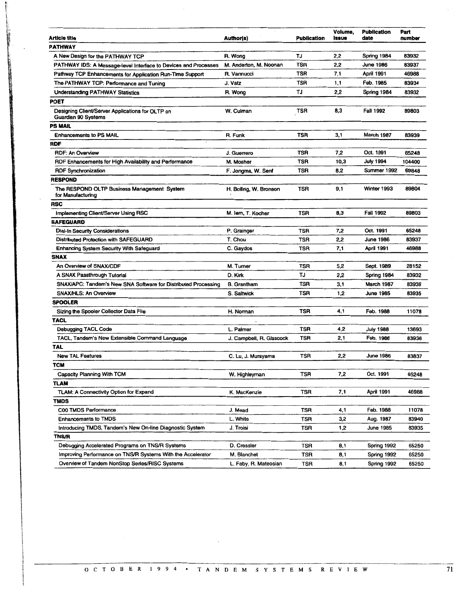| <b>Article title</b>                                                           | Author(s)                | <b>Publication</b> | Volume,<br><b>issue</b> | <b>Publication</b><br>date |
|--------------------------------------------------------------------------------|--------------------------|--------------------|-------------------------|----------------------------|
| <b>PATHWAY</b>                                                                 |                          |                    |                         |                            |
| A New Design for the PATHWAY TCP                                               | R. Wong                  | TJ                 | 2,2                     | Spring 1984                |
| PATHWAY IDS: A Message-level Interface to Devices and Processes                | M. Anderton, M. Noonan   | <b>TSR</b>         | 2,2                     | June 1986                  |
| Pathway TCP Enhancements for Application Run-Time Support                      | R. Vannucci              | <b>TSR</b>         | 7,1                     | <b>April 1991</b>          |
| The PATHWAY TCP: Performance and Tuning                                        | J. Vatz                  | TSR                | 1,1                     | Feb. 1985                  |
| Understanding PATHWAY Statistics                                               | R. Wong                  | TJ                 | 2,2                     | Spring 1984                |
| POET                                                                           |                          |                    |                         |                            |
| Designing Client/Server Applications for OLTP on<br><b>Guardian 90 Systems</b> | W. Culman                | TSR                | 8,3                     | <b>Fall 1992</b>           |
| <b>PS MAIL</b>                                                                 |                          |                    |                         |                            |
| <b>Enhancements to PS MAIL</b>                                                 | R. Funk                  | TSR                | 3,1                     | March 1987                 |
| <b>RDF</b>                                                                     |                          |                    |                         |                            |
| <b>RDF: An Overview</b>                                                        | J. Guerrero              | TSR                | 7,2                     | Oct. 1991                  |
| RDF Enhancements for High Availability and Performance                         | M. Mosher                | <b>TSR</b>         | 10,3                    | <b>July 1994</b>           |
| <b>RDF Synchronization</b>                                                     | F. Jongma, W. Senf       | <b>TSR</b>         | 8.2                     | Summer 1992                |
| RESPOND                                                                        |                          |                    |                         |                            |
| The RESPOND OLTP Business Management System<br>for Manufacturing               | H. Bolling, W. Bronson   | <b>TSR</b>         | 9,1                     | Winter 1993                |
| <b>RSC</b>                                                                     |                          |                    |                         |                            |
| Implementing Client/Server Using RSC                                           | M. lem, T. Kocher        | <b>TSR</b>         | 8,3                     | <b>Fall 1992</b>           |
| <b>SAFEGUARD</b>                                                               |                          |                    |                         |                            |
| <b>Dial-In Security Considerations</b>                                         | P. Grainger              | TSR                | 7,2                     | Oct. 1991                  |
| <b>Distributed Protection with SAFEGUARD</b>                                   | T. Chou                  | TSR                | 2,2                     | <b>June 1986</b>           |
| <b>Enhancing System Security With Safeguard</b>                                | C. Gaydos                | <b>TSR</b>         | 7,1                     | April 1991                 |
| <b>SNAX</b>                                                                    |                          |                    |                         |                            |
| An Overview of SNAX/CDF                                                        | M. Turner                | TSR                | 5,2                     | Sept. 1989                 |
| A SNAX Passthrough Tutorial                                                    | D. Kirk                  | TJ                 | 2,2                     | Spring 1984                |
| SNAX/APC: Tandem's New SNA Software for Distributed Processing                 | <b>B.</b> Grantham       | TSR                | 3,1                     | March 1987                 |
| <b>SNAX/HLS: An Overview</b>                                                   | S. Saltwick              | TSR                | 1,2                     | June 1985                  |
| SPOOLER                                                                        |                          |                    |                         |                            |
| Sizing the Spooler Collector Data File                                         | H. Norman                | <b>TSR</b>         | 4,1                     | Feb. 1988                  |
| <b>TACL</b>                                                                    |                          |                    |                         |                            |
| <b>Debugging TACL Code</b>                                                     | L. Palmer                | TSR                | 4,2                     | <b>July 1988</b>           |
| TACL, Tandem's New Extensible Command Language                                 | J. Campbell, R. Glascock | TSR                | 2,1                     | Feb. 1986                  |
| TAL                                                                            |                          |                    |                         |                            |
| <b>New TAL Features</b>                                                        | C. Lu, J. Murayama       | <b>TSR</b>         | 2,2                     | <b>June 1986</b>           |
| TCM                                                                            |                          |                    |                         |                            |
| <b>Capacity Planning With TCM</b>                                              | W. Highleyman            | TSR                | 7,2                     | Oct. 1991                  |
| TLAM                                                                           |                          |                    |                         |                            |
| <b>TLAM: A Connectivity Option for Expand</b>                                  | K. MacKenzie             | <b>TSR</b>         | 7,1                     | <b>April 1991</b>          |
| TMDS                                                                           |                          |                    |                         |                            |
| C00 TMDS Performance                                                           | J. Mead                  | <b>TSR</b>         | 4,1                     | Feb. 1988                  |
| <b>Enhancements to TMDS</b>                                                    | L. White                 | <b>TSR</b>         | 3,2                     | Aug. 1987                  |
| Introducing TMDS, Tandem's New On-line Diagnostic System                       | J. Troisi                | TSR                | 1,2                     | June 1985                  |
| <b>TNS/R</b>                                                                   |                          |                    |                         |                            |
| Debugging Accelerated Programs on TNS/R Systems                                | D. Cressler              | TSR                | 8,1                     | Spring 1992                |
| Improving Performance on TNS/R Systems With the Accelerator                    | M. Blanchet              | TSR                | 8,1                     | Spring 1992                |
|                                                                                |                          |                    |                         |                            |

' I t  $\epsilon$